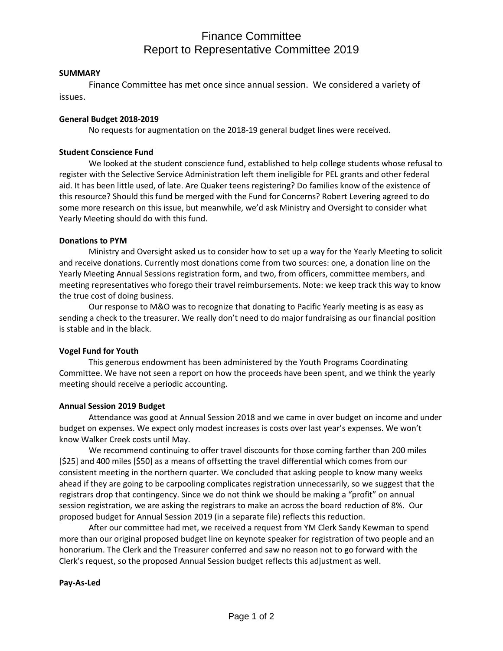# Finance Committee Report to Representative Committee 2019

#### **SUMMARY**

Finance Committee has met once since annual session. We considered a variety of issues.

### **General Budget 2018-2019**

No requests for augmentation on the 2018-19 general budget lines were received.

#### **Student Conscience Fund**

We looked at the student conscience fund, established to help college students whose refusal to register with the Selective Service Administration left them ineligible for PEL grants and other federal aid. It has been little used, of late. Are Quaker teens registering? Do families know of the existence of this resource? Should this fund be merged with the Fund for Concerns? Robert Levering agreed to do some more research on this issue, but meanwhile, we'd ask Ministry and Oversight to consider what Yearly Meeting should do with this fund.

### **Donations to PYM**

Ministry and Oversight asked us to consider how to set up a way for the Yearly Meeting to solicit and receive donations. Currently most donations come from two sources: one, a donation line on the Yearly Meeting Annual Sessions registration form, and two, from officers, committee members, and meeting representatives who forego their travel reimbursements. Note: we keep track this way to know the true cost of doing business.

Our response to M&O was to recognize that donating to Pacific Yearly meeting is as easy as sending a check to the treasurer. We really don't need to do major fundraising as our financial position is stable and in the black.

## **Vogel Fund for Youth**

This generous endowment has been administered by the Youth Programs Coordinating Committee. We have not seen a report on how the proceeds have been spent, and we think the yearly meeting should receive a periodic accounting.

## **Annual Session 2019 Budget**

Attendance was good at Annual Session 2018 and we came in over budget on income and under budget on expenses. We expect only modest increases is costs over last year's expenses. We won't know Walker Creek costs until May.

We recommend continuing to offer travel discounts for those coming farther than 200 miles [\$25] and 400 miles [\$50] as a means of offsetting the travel differential which comes from our consistent meeting in the northern quarter. We concluded that asking people to know many weeks ahead if they are going to be carpooling complicates registration unnecessarily, so we suggest that the registrars drop that contingency. Since we do not think we should be making a "profit" on annual session registration, we are asking the registrars to make an across the board reduction of 8%. Our proposed budget for Annual Session 2019 (in a separate file) reflects this reduction.

After our committee had met, we received a request from YM Clerk Sandy Kewman to spend more than our original proposed budget line on keynote speaker for registration of two people and an honorarium. The Clerk and the Treasurer conferred and saw no reason not to go forward with the Clerk's request, so the proposed Annual Session budget reflects this adjustment as well.

## **Pay-As-Led**